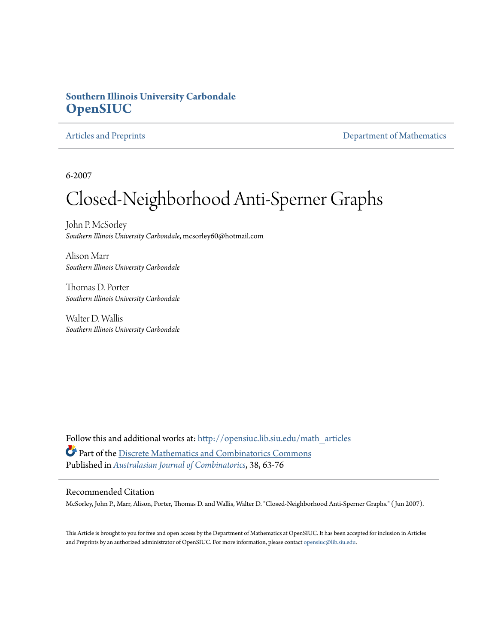### **Southern Illinois University Carbondale [OpenSIUC](http://opensiuc.lib.siu.edu?utm_source=opensiuc.lib.siu.edu%2Fmath_articles%2F86&utm_medium=PDF&utm_campaign=PDFCoverPages)**

[Articles and Preprints](http://opensiuc.lib.siu.edu/math_articles?utm_source=opensiuc.lib.siu.edu%2Fmath_articles%2F86&utm_medium=PDF&utm_campaign=PDFCoverPages) **[Department of Mathematics](http://opensiuc.lib.siu.edu/math?utm_source=opensiuc.lib.siu.edu%2Fmath_articles%2F86&utm_medium=PDF&utm_campaign=PDFCoverPages)** 

6-2007

# Closed-Neighborhood Anti-Sperner Graphs

John P. McSorley *Southern Illinois University Carbondale*, mcsorley60@hotmail.com

Alison Marr *Southern Illinois University Carbondale*

Thomas D. Porter *Southern Illinois University Carbondale*

Walter D. Wallis *Southern Illinois University Carbondale*

Follow this and additional works at: [http://opensiuc.lib.siu.edu/math\\_articles](http://opensiuc.lib.siu.edu/math_articles?utm_source=opensiuc.lib.siu.edu%2Fmath_articles%2F86&utm_medium=PDF&utm_campaign=PDFCoverPages) Part of the [Discrete Mathematics and Combinatorics Commons](http://network.bepress.com/hgg/discipline/178?utm_source=opensiuc.lib.siu.edu%2Fmath_articles%2F86&utm_medium=PDF&utm_campaign=PDFCoverPages) Published in *[Australasian Journal of Combinatorics](http://ajc.maths.uq.edu.au/)*, 38, 63-76

#### Recommended Citation

McSorley, John P., Marr, Alison, Porter, Thomas D. and Wallis, Walter D. "Closed-Neighborhood Anti-Sperner Graphs." ( Jun 2007).

This Article is brought to you for free and open access by the Department of Mathematics at OpenSIUC. It has been accepted for inclusion in Articles and Preprints by an authorized administrator of OpenSIUC. For more information, please contact [opensiuc@lib.siu.edu](mailto:opensiuc@lib.siu.edu).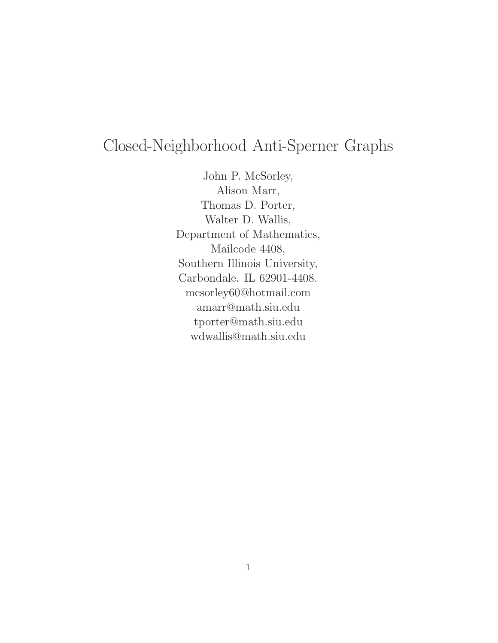## Closed-Neighborhood Anti-Sperner Graphs

John P. McSorley, Alison Marr, Thomas D. Porter, Walter D. Wallis, Department of Mathematics, Mailcode 4408, Southern Illinois University, Carbondale. IL 62901-4408. mcsorley60@hotmail.com amarr@math.siu.edu tporter@math.siu.edu wdwallis@math.siu.edu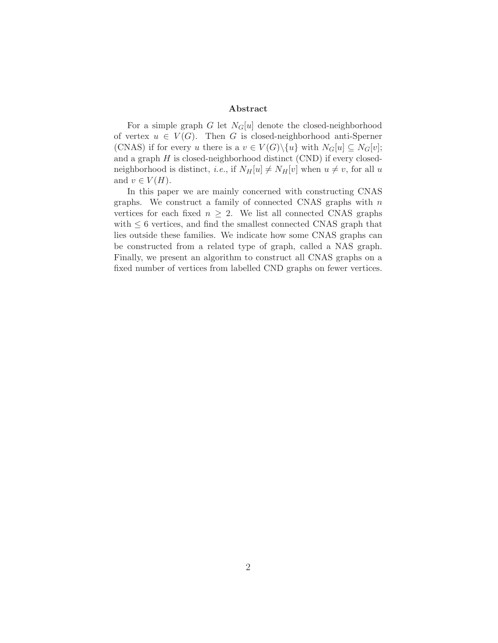#### **Abstract**

For a simple graph G let  $N_G[u]$  denote the closed-neighborhood of vertex  $u \in V(G)$ . Then G is closed-neighborhood anti-Sperner (CNAS) if for every u there is a  $v \in V(G) \setminus \{u\}$  with  $N_G[u] \subseteq N_G[v]$ ; and a graph  $H$  is closed-neighborhood distinct (CND) if every closedneighborhood is distinct, *i.e.*, if  $N_H[u] \neq N_H[v]$  when  $u \neq v$ , for all u and  $v \in V(H)$ .

In this paper we are mainly concerned with constructing CNAS graphs. We construct a family of connected CNAS graphs with  $n$ vertices for each fixed  $n \geq 2$ . We list all connected CNAS graphs with  $\leq 6$  vertices, and find the smallest connected CNAS graph that lies outside these families. We indicate how some CNAS graphs can be constructed from a related type of graph, called a NAS graph. Finally, we present an algorithm to construct all CNAS graphs on a fixed number of vertices from labelled CND graphs on fewer vertices.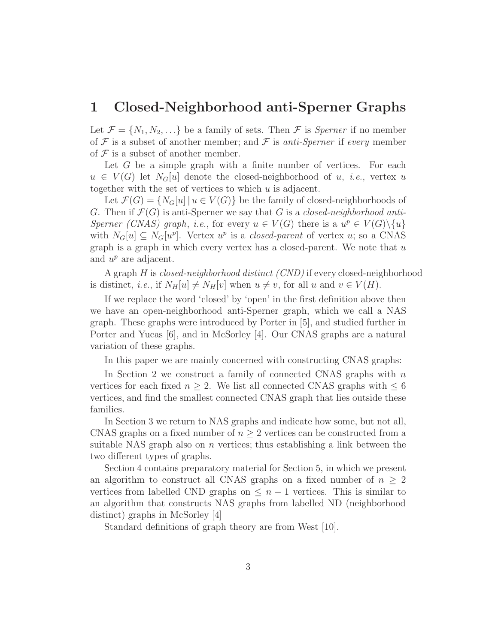### **1 Closed-Neighborhood anti-Sperner Graphs**

Let  $\mathcal{F} = \{N_1, N_2, \ldots\}$  be a family of sets. Then  $\mathcal{F}$  is *Sperner* if no member of  $F$  is a subset of another member; and  $F$  is *anti-Sperner* if *every* member of  $\mathcal F$  is a subset of another member.

Let  $G$  be a simple graph with a finite number of vertices. For each  $u \in V(G)$  let  $N_G[u]$  denote the closed-neighborhood of u, *i.e.*, vertex u together with the set of vertices to which u is adjacent.

Let  $\mathcal{F}(G) = \{N_G[u] \mid u \in V(G)\}\$ be the family of closed-neighborhoods of G. Then if  $\mathcal{F}(G)$  is anti-Sperner we say that G is a *closed-neighborhood anti-Sperner (CNAS) graph*, *i.e.*, for every  $u \in V(G)$  there is a  $u^p \in V(G) \setminus \{u\}$ with  $N_G[u] \subseteq N_G[u^p]$ . Vertex  $u^p$  is a *closed-parent* of vertex u; so a CNAS graph is a graph in which every vertex has a closed-parent. We note that  $u$ and  $u^p$  are adjacent.

A graph H is *closed-neighborhood distinct (CND)* if every closed-neighborhood is distinct, *i.e.*, if  $N_H[u] \neq N_H[v]$  when  $u \neq v$ , for all u and  $v \in V(H)$ .

If we replace the word 'closed' by 'open' in the first definition above then we have an open-neighborhood anti-Sperner graph, which we call a NAS graph. These graphs were introduced by Porter in [5], and studied further in Porter and Yucas [6], and in McSorley [4]. Our CNAS graphs are a natural variation of these graphs.

In this paper we are mainly concerned with constructing CNAS graphs:

In Section 2 we construct a family of connected CNAS graphs with  $n$ vertices for each fixed  $n \geq 2$ . We list all connected CNAS graphs with  $\leq 6$ vertices, and find the smallest connected CNAS graph that lies outside these families.

In Section 3 we return to NAS graphs and indicate how some, but not all, CNAS graphs on a fixed number of  $n \geq 2$  vertices can be constructed from a suitable NAS graph also on  $n$  vertices; thus establishing a link between the two different types of graphs.

Section 4 contains preparatory material for Section 5, in which we present an algorithm to construct all CNAS graphs on a fixed number of  $n \geq 2$ vertices from labelled CND graphs on  $\leq n-1$  vertices. This is similar to an algorithm that constructs NAS graphs from labelled ND (neighborhood distinct) graphs in McSorley [4]

Standard definitions of graph theory are from West [10].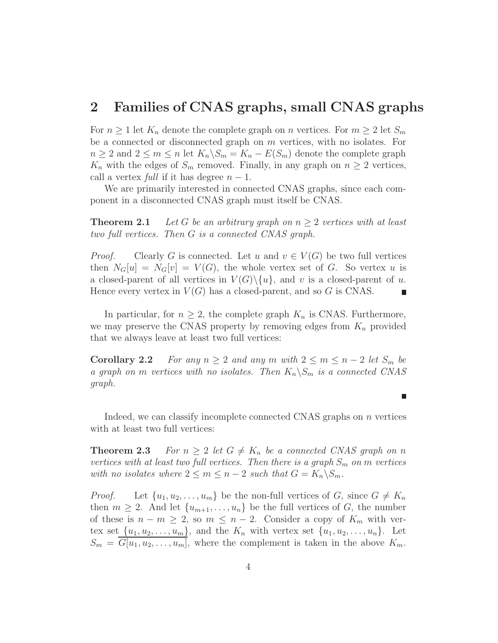### **2 Families of CNAS graphs, small CNAS graphs**

For  $n \geq 1$  let  $K_n$  denote the complete graph on n vertices. For  $m \geq 2$  let  $S_m$ be a connected or disconnected graph on m vertices, with no isolates. For  $n \geq 2$  and  $2 \leq m \leq n$  let  $K_n \backslash S_m = K_n - E(S_m)$  denote the complete graph  $K_n$  with the edges of  $S_m$  removed. Finally, in any graph on  $n \geq 2$  vertices, call a vertex *full* if it has degree  $n-1$ .

We are primarily interested in connected CNAS graphs, since each component in a disconnected CNAS graph must itself be CNAS.

**Theorem 2.1** *Let* G *be an arbitrary graph on*  $n \geq 2$  *vertices with at least two full vertices. Then* G *is a connected CNAS graph.*

*Proof.* Clearly G is connected. Let u and  $v \in V(G)$  be two full vertices then  $N_G[u] = N_G[v] = V(G)$ , the whole vertex set of G. So vertex u is a closed-parent of all vertices in  $V(G)\setminus\{u\}$ , and v is a closed-parent of u. Hence every vertex in  $V(G)$  has a closed-parent, and so G is CNAS.

In particular, for  $n \geq 2$ , the complete graph  $K_n$  is CNAS. Furthermore, we may preserve the CNAS property by removing edges from  $K_n$  provided that we always leave at least two full vertices:

**Corollary 2.2** *For any*  $n \geq 2$  *and any*  $m$  *with*  $2 \leq m \leq n-2$  *let*  $S_m$  *be a graph on m vertices with no isolates. Then*  $K_n \backslash S_m$  *is a connected CNAS graph.*

Indeed, we can classify incomplete connected CNAS graphs on  $n$  vertices with at least two full vertices:

**Theorem 2.3** *For*  $n \geq 2$  *let*  $G \neq K_n$  *be a connected CNAS graph on* n *vertices with at least two full vertices. Then there is a graph*  $S_m$  *on* m *vertices with no isolates where*  $2 \le m \le n-2$  *such that*  $G = K_n \backslash S_m$ .

*Proof.* Let  $\{u_1, u_2, \ldots, u_m\}$  be the non-full vertices of G, since  $G \neq K_n$ then  $m \geq 2$ . And let  $\{u_{m+1}, \ldots, u_n\}$  be the full vertices of G, the number of these is  $n - m \geq 2$ , so  $m \leq n - 2$ . Consider a copy of  $K_m$  with vertex set  $\{u_1, u_2, \ldots, u_m\}$ , and the  $K_n$  with vertex set  $\{u_1, u_2, \ldots, u_n\}$ . Let  $S_m = \overline{G[u_1, u_2, \ldots, u_m]}$ , where the complement is taken in the above  $K_m$ .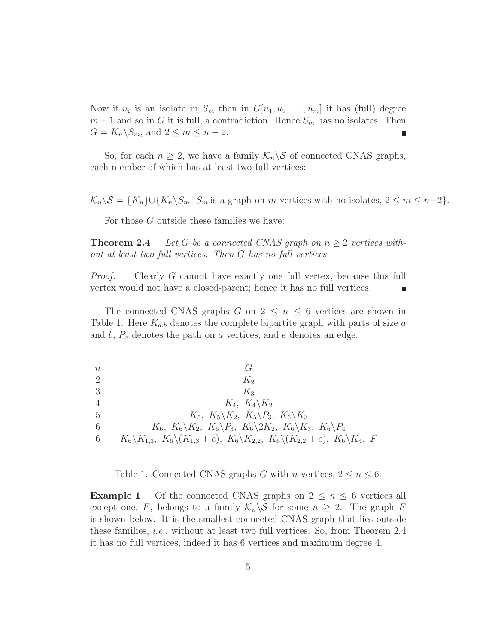Now if  $u_i$  is an isolate in  $S_m$  then in  $G[u_1, u_2, \ldots, u_m]$  it has (full) degree  $m-1$  and so in G it is full, a contradiction. Hence  $S_m$  has no isolates. Then  $G = K_n \backslash S_m$ , and  $2 \leq m \leq n-2$ .

So, for each  $n \geq 2$ , we have a family  $\mathcal{K}_n \backslash \mathcal{S}$  of connected CNAS graphs, each member of which has at least two full vertices:

 $\mathcal{K}_n\setminus\mathcal{S} = \{K_n\}\cup\{K_n\setminus S_m | S_m \text{ is a graph on } m \text{ vertices with no isolates, } 2 \leq m \leq n-2\}.$ 

For those G outside these families we have:

**Theorem 2.4** *Let* G *be a connected CNAS graph on*  $n \geq 2$  *vertices without at least two full vertices. Then* G *has no full vertices.*

*Proof.* Clearly G cannot have exactly one full vertex, because this full vertex would not have a closed-parent; hence it has no full vertices.

The connected CNAS graphs G on  $2 \leq n \leq 6$  vertices are shown in Table 1. Here  $K_{a,b}$  denotes the complete bipartite graph with parts of size a and  $b, P_a$  denotes the path on a vertices, and e denotes an edge.

 $n \hspace{1.5cm} G$ 2  $K_2$ 3  $K_3$ 4  $K_4, K_4\backslash K_2$ 5  $K_5$ ,  $K_5 \backslash K_2$ ,  $K_5 \backslash P_3$ ,  $K_5 \backslash K_3$ 6 K6,  $K_6 \setminus K_2$ ,  $K_6 \setminus P_3$ ,  $K_6 \setminus 2K_2$ ,  $K_6 \setminus K_3$ ,  $K_6 \setminus P_4$ 6  $K_6\backslash K_{1,3}, K_6\backslash (K_{1,3} + e), K_6\backslash K_{2,2}, K_6\backslash (K_{2,2} + e), K_6\backslash K_4, F$ 

Table 1. Connected CNAS graphs G with n vertices,  $2 \le n \le 6$ .

**Example 1** Of the connected CNAS graphs on  $2 \leq n \leq 6$  vertices all except one, F, belongs to a family  $\mathcal{K}_n \backslash \mathcal{S}$  for some  $n \geq 2$ . The graph F is shown below. It is the smallest connected CNAS graph that lies outside these families, *i.e.*, without at least two full vertices. So, from Theorem 2.4 it has no full vertices, indeed it has 6 vertices and maximum degree 4.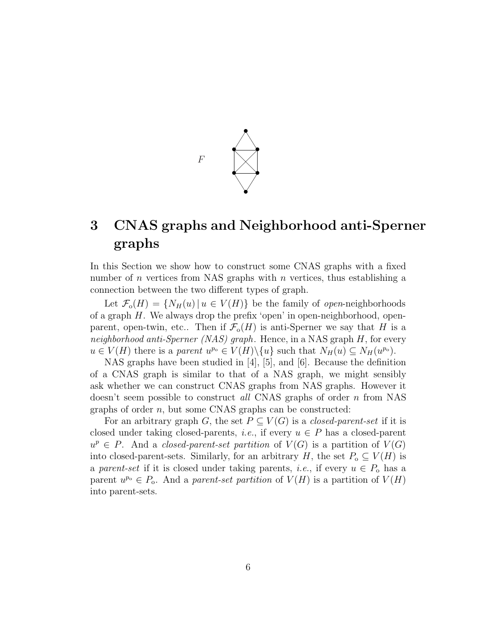

### **3 CNAS graphs and Neighborhood anti-Sperner graphs**

In this Section we show how to construct some CNAS graphs with a fixed number of n vertices from NAS graphs with n vertices, thus establishing a connection between the two different types of graph.

Let  $\mathcal{F}_{0}(H) = \{N_{H}(u) | u \in V(H)\}\$ be the family of *open*-neighborhoods of a graph H. We always drop the prefix 'open' in open-neighborhood, openparent, open-twin, etc... Then if  $\mathcal{F}_{0}(H)$  is anti-Sperner we say that H is a *neighborhood anti-Sperner (NAS) graph*. Hence, in a NAS graph H, for every  $u \in V(H)$  there is a *parent*  $u^{p_0} \in V(H) \setminus \{u\}$  such that  $N_H(u) \subseteq N_H(u^{p_0})$ .

NAS graphs have been studied in [4], [5], and [6]. Because the definition of a CNAS graph is similar to that of a NAS graph, we might sensibly ask whether we can construct CNAS graphs from NAS graphs. However it doesn't seem possible to construct *all* CNAS graphs of order n from NAS graphs of order n, but some CNAS graphs can be constructed:

For an arbitrary graph G, the set  $P \subseteq V(G)$  is a *closed-parent-set* if it is closed under taking closed-parents, *i.e.*, if every  $u \in P$  has a closed-parent  $u^p \in P$ . And a *closed-parent-set partition* of  $V(G)$  is a partition of  $V(G)$ into closed-parent-sets. Similarly, for an arbitrary H, the set  $P_{o} \subseteq V(H)$  is a *parent-set* if it is closed under taking parents, *i.e.*, if every  $u \in P_0$  has a parent  $u^{p_0} \in P_0$ . And a *parent-set partition* of  $V(H)$  is a partition of  $V(H)$ into parent-sets.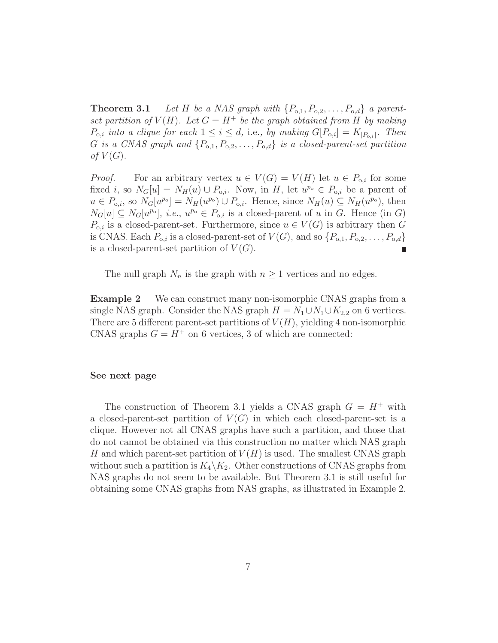**Theorem 3.1** *Let* H *be a NAS graph with*  $\{P_{o,1}, P_{o,2}, \ldots, P_{o,d}\}$  *a parentset partition of*  $V(H)$ *. Let*  $G = H^+$  *be the graph obtained from* H *by making*  $P_{o,i}$  *into a clique for each*  $1 \leq i \leq d$ , i.e., by making  $G[P_{o,i}] = K_{|P_{o,i}|}$ *. Then* G *is a CNAS graph and*  $\{P_{o,1}, P_{o,2}, \ldots, P_{o,d}\}$  *is a closed-parent-set partition of*  $V(G)$ *.* 

*Proof.* For an arbitrary vertex  $u \in V(G) = V(H)$  let  $u \in P_{o,i}$  for some fixed i, so  $N_G[u] = N_H(u) \cup P_{o,i}$ . Now, in H, let  $u^{p_o} \in P_{o,i}$  be a parent of  $u \in P_{o,i}$ , so  $N_G[u^{p_o}] = N_H(u^{p_o}) \cup P_{o,i}$ . Hence, since  $N_H(u) \subseteq N_H(u^{p_o})$ , then  $N_G[u] \subseteq N_G[u^{p_0}],$  *i.e.*,  $u^{p_0} \in P_{0,i}$  is a closed-parent of u in G. Hence (in G)  $P_{o,i}$  is a closed-parent-set. Furthermore, since  $u \in V(G)$  is arbitrary then G is CNAS. Each  $P_{o,i}$  is a closed-parent-set of  $V(G)$ , and so  $\{P_{o,1}, P_{o,2}, \ldots, P_{o,d}\}$ is a closed-parent-set partition of  $V(G)$ .

The null graph  $N_n$  is the graph with  $n \geq 1$  vertices and no edges.

**Example 2** We can construct many non-isomorphic CNAS graphs from a single NAS graph. Consider the NAS graph  $H = N_1 \cup N_1 \cup K_{2,2}$  on 6 vertices. There are 5 different parent-set partitions of  $V(H)$ , yielding 4 non-isomorphic CNAS graphs  $G = H^+$  on 6 vertices, 3 of which are connected:

#### **See next page**

The construction of Theorem 3.1 yields a CNAS graph  $G = H^+$  with a closed-parent-set partition of  $V(G)$  in which each closed-parent-set is a clique. However not all CNAS graphs have such a partition, and those that do not cannot be obtained via this construction no matter which NAS graph H and which parent-set partition of  $V(H)$  is used. The smallest CNAS graph without such a partition is  $K_4 \backslash K_2$ . Other constructions of CNAS graphs from NAS graphs do not seem to be available. But Theorem 3.1 is still useful for obtaining some CNAS graphs from NAS graphs, as illustrated in Example 2.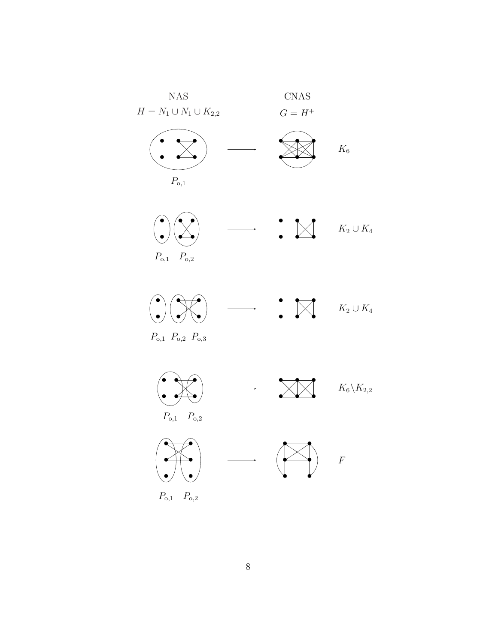



 $P_{o,1}$   $P_{o,2}$   $P_{o,3}$ 

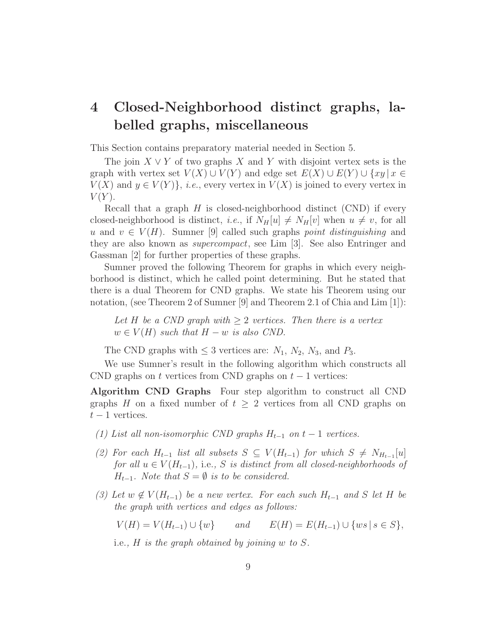### **4 Closed-Neighborhood distinct graphs, labelled graphs, miscellaneous**

This Section contains preparatory material needed in Section 5.

The join  $X \vee Y$  of two graphs X and Y with disjoint vertex sets is the graph with vertex set  $V(X) \cup V(Y)$  and edge set  $E(X) \cup E(Y) \cup \{xy \mid x \in Y\}$  $V(X)$  and  $y \in V(Y)$ , *i.e.*, every vertex in  $V(X)$  is joined to every vertex in  $V(Y)$ .

Recall that a graph  $H$  is closed-neighborhood distinct (CND) if every closed-neighborhood is distinct, *i.e.*, if  $N_H[u] \neq N_H[v]$  when  $u \neq v$ , for all u and  $v \in V(H)$ . Sumner [9] called such graphs *point distinguishing* and they are also known as *supercompact*, see Lim [3]. See also Entringer and Gassman [2] for further properties of these graphs.

Sumner proved the following Theorem for graphs in which every neighborhood is distinct, which he called point determining. But he stated that there is a dual Theorem for CND graphs. We state his Theorem using our notation, (see Theorem 2 of Sumner [9] and Theorem 2.1 of Chia and Lim [1]):

*Let H be a CND graph with*  $\geq$  2 *vertices. Then there is a vertex*  $w \in V(H)$  *such that*  $H - w$  *is also CND*.

The CND graphs with  $\leq 3$  vertices are:  $N_1$ ,  $N_2$ ,  $N_3$ , and  $P_3$ .

We use Sumner's result in the following algorithm which constructs all CND graphs on t vertices from CND graphs on  $t-1$  vertices:

**Algorithm CND Graphs** Four step algorithm to construct all CND graphs H on a fixed number of  $t \geq 2$  vertices from all CND graphs on  $t-1$  vertices.

- $(1)$  List all non-isomorphic CND graphs  $H_{t-1}$  on  $t-1$  vertices.
- *(2) For each*  $H_{t-1}$  *list all subsets*  $S \subseteq V(H_{t-1})$  *for which*  $S \neq N_{H_{t-1}}[u]$ *for all*  $u \in V(H_{t-1})$ *,* i.e., S *is distinct from all closed-neighborhoods of*  $H_{t-1}$ *. Note that*  $S = \emptyset$  *is to be considered.*
- *(3) Let*  $w \notin V(H_{t-1})$  *be a new vertex. For each such*  $H_{t-1}$  *and* S *let* H *be the graph with vertices and edges as follows:*

 $V(H) = V(H_{t-1}) \cup \{w\}$  *and*  $E(H) = E(H_{t-1}) \cup \{ws \mid s \in S\},$ 

i.e.*,* H *is the graph obtained by joining* w *to* S*.*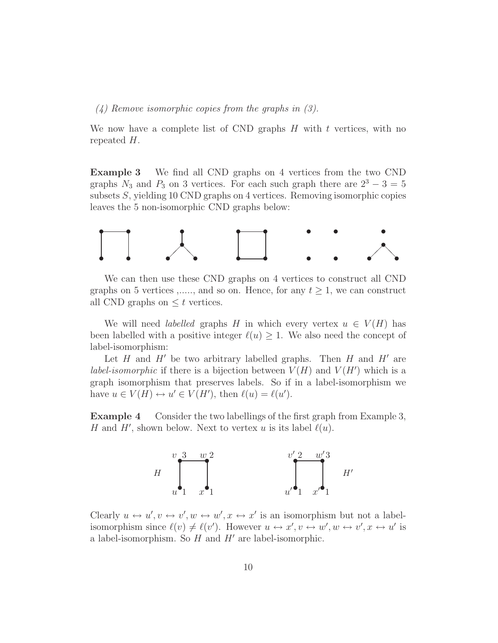*(4) Remove isomorphic copies from the graphs in (3).*

We now have a complete list of CND graphs  $H$  with  $t$  vertices, with no repeated H.

**Example 3** We find all CND graphs on 4 vertices from the two CND graphs  $N_3$  and  $P_3$  on 3 vertices. For each such graph there are  $2^3 - 3 = 5$ subsets S, yielding 10 CND graphs on 4 vertices. Removing isomorphic copies leaves the 5 non-isomorphic CND graphs below:



We can then use these CND graphs on 4 vertices to construct all CND graphs on 5 vertices ,....., and so on. Hence, for any  $t \geq 1$ , we can construct all CND graphs on  $\leq t$  vertices.

We will need *labelled* graphs H in which every vertex  $u \in V(H)$  has been labelled with a positive integer  $\ell(u) \geq 1$ . We also need the concept of label-isomorphism:

Let H and H' be two arbitrary labelled graphs. Then H and H' are *label-isomorphic* if there is a bijection between  $V(H)$  and  $V(H')$  which is a graph isomorphism that preserves labels. So if in a label-isomorphism we have  $u \in V(H) \leftrightarrow u' \in V(H')$ , then  $\ell(u) = \ell(u')$ .

**Example 4** Consider the two labellings of the first graph from Example 3, H and H', shown below. Next to vertex u is its label  $\ell(u)$ .



Clearly  $u \leftrightarrow u', v \leftrightarrow v', w \leftrightarrow w', x \leftrightarrow x'$  is an isomorphism but not a labelisomorphism since  $\ell(v) \neq \ell(v')$ . However  $u \leftrightarrow x', v \leftrightarrow w', w \leftrightarrow v', x \leftrightarrow u'$  is a label-isomorphism. So  $H$  and  $H'$  are label-isomorphic.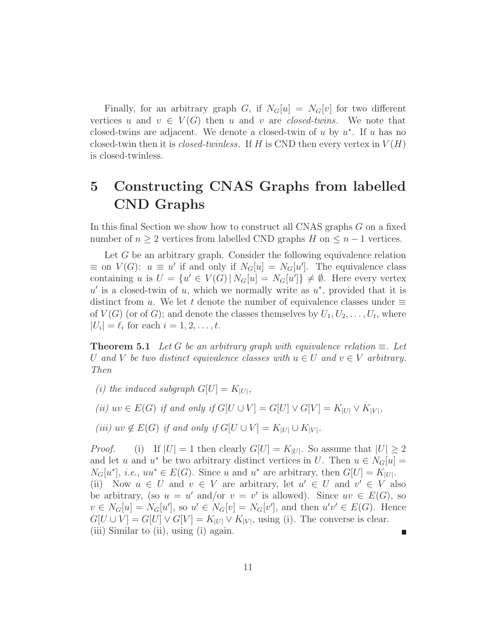Finally, for an arbitrary graph G, if  $N_G[u] = N_G[v]$  for two different vertices u and  $v \in V(G)$  then u and v are *closed-twins*. We note that closed-twins are adjacent. We denote a closed-twin of u by  $u^*$ . If u has no closed-twin then it is *closed-twinless*. If H is CND then every vertex in  $V(H)$ is closed-twinless.

### **5 Constructing CNAS Graphs from labelled CND Graphs**

In this final Section we show how to construct all CNAS graphs G on a fixed number of  $n \geq 2$  vertices from labelled CND graphs H on  $\leq n-1$  vertices.

Let G be an arbitrary graph. Consider the following equivalence relation  $\equiv$  on  $V(G)$ :  $u \equiv u'$  if and only if  $N_G[u] = N_G[u']$ . The equivalence class containing u is  $U = \{u' \in V(G) | N_G[u] = N_G[u']\} \neq \emptyset$ . Here every vertex  $u'$  is a closed-twin of u, which we normally write as  $u^*$ , provided that it is distinct from u. We let t denote the number of equivalence classes under  $\equiv$ of  $V(G)$  (or of G); and denote the classes themselves by  $U_1, U_2, \ldots, U_t$ , where  $|U_i| = \ell_i$  for each  $i = 1, 2, \ldots, t$ .

**Theorem 5.1** *Let* G *be an arbitrary graph with equivalence relation*  $\equiv$ *. Let* U and V be two distinct equivalence classes with  $u \in U$  and  $v \in V$  arbitrary. *Then*

*(i)* the induced subgraph  $G[U] = K_{|U|}$ ,

*(ii)*  $uv \in E(G)$  *if and only if*  $G[U \cup V] = G[U] \vee G[V] = K_{|U|} \vee K_{|V|}$ *,* 

*(iii)*  $uv \notin E(G)$  *if and only if*  $G[U \cup V] = K_{|U|} \cup K_{|V|}$ *.* 

*Proof.* (i) If  $|U| = 1$  then clearly  $G[U] = K_{|U|}$ . So assume that  $|U| \geq 2$ and let u and u<sup>\*</sup> be two arbitrary distinct vertices in U. Then  $u \in N_G[u] =$  $N_G[u^*], i.e., uu^* \in E(G)$ . Since u and u<sup>\*</sup> are arbitrary, then  $G[U] = K_{|U|}$ . (ii) Now  $u \in U$  and  $v \in V$  are arbitrary, let  $u' \in U$  and  $v' \in V$  also be arbitrary, (so  $u = u'$  and/or  $v = v'$  is allowed). Since  $uv \in E(G)$ , so  $v \in N_G[u] = N_G[u']$ , so  $u' \in N_G[v] = N_G[v']$ , and then  $u'v' \in E(G)$ . Hence  $G[U \cup V] = G[U] \vee G[V] = K_{|U|} \vee K_{|V|}$ , using (i). The converse is clear. (iii) Similar to (ii), using (i) again. Г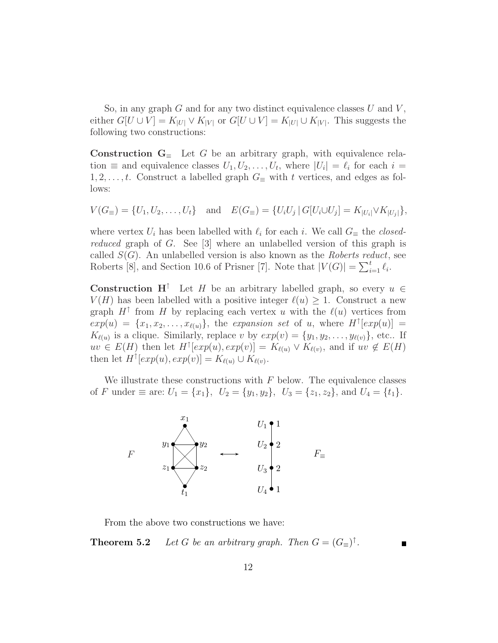So, in any graph  $G$  and for any two distinct equivalence classes  $U$  and  $V$ , either  $G[U \cup V] = K_{|U|} \vee K_{|V|}$  or  $G[U \cup V] = K_{|U|} \cup K_{|V|}$ . This suggests the following two constructions:

**Construction**  $G_\equiv$  Let G be an arbitrary graph, with equivalence relation  $\equiv$  and equivalence classes  $U_1, U_2, \ldots, U_t$ , where  $|U_i| = \ell_i$  for each  $i =$  $1, 2, \ldots, t$ . Construct a labelled graph  $G_{\equiv}$  with t vertices, and edges as follows:

$$
V(G_{\equiv}) = \{U_1, U_2, \dots, U_t\} \text{ and } E(G_{\equiv}) = \{U_i U_j | G[U_i \cup U_j] = K_{|U_i|} \vee K_{|U_j|}\},
$$

where vertex  $U_i$  has been labelled with  $\ell_i$  for each i. We call  $G_{\equiv}$  the *closedreduced* graph of G. See [3] where an unlabelled version of this graph is called S(G). An unlabelled version is also known as the *Roberts reduct*, see Roberts [8], and Section 10.6 of Prisner [7]. Note that  $|V(G)| = \sum_{i=1}^{t} \ell_i$ .

**Construction H**<sup>↑</sup> Let H be an arbitrary labelled graph, so every  $u \in$  $V(H)$  has been labelled with a positive integer  $\ell(u) \geq 1$ . Construct a new graph  $H^{\dagger}$  from H by replacing each vertex u with the  $\ell(u)$  vertices from  $exp(u) = \{x_1, x_2, \ldots, x_{\ell(u)}\}$ , the *expansion set* of u, where  $H^{\uparrow}[exp(u)] =$  $K_{\ell(u)}$  is a clique. Similarly, replace v by  $exp(v) = {y_1, y_2, \ldots, y_{\ell(v)}}$ , etc.. If  $uv \in E(H)$  then let  $H^{\uparrow}[exp(u), exp(v)] = K_{\ell(u)} \vee K_{\ell(v)}$ , and if  $uv \notin E(H)$ then let  $H^{\uparrow}[exp(u), exp(v)] = K_{\ell(u)} \cup K_{\ell(v)}$ .

We illustrate these constructions with  $F$  below. The equivalence classes of F under  $\equiv$  are:  $U_1 = \{x_1\}, U_2 = \{y_1, y_2\}, U_3 = \{z_1, z_2\}, \text{ and } U_4 = \{t_1\}.$ 



From the above two constructions we have:

**Theorem 5.2** *Let* G *be an arbitrary graph. Then*  $G = (G_{\equiv})^{\dagger}$ *.*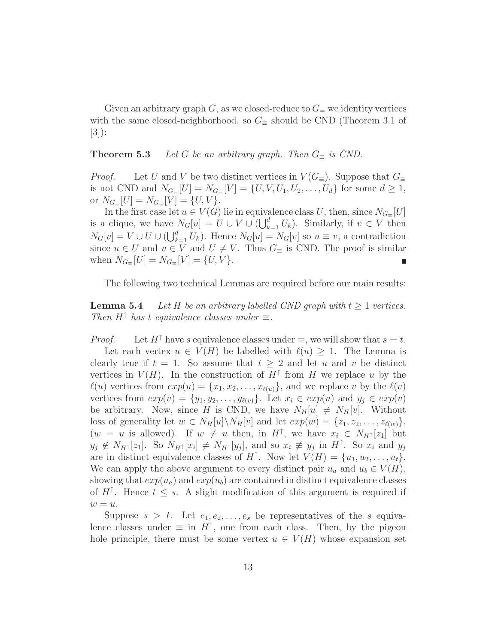Given an arbitrary graph G, as we closed-reduce to  $G_{\equiv}$  we identity vertices with the same closed-neighborhood, so  $G_\equiv$  should be CND (Theorem 3.1 of [3]):

#### **Theorem 5.3** *Let* G *be an arbitrary graph. Then*  $G_{\equiv}$  *is CND.*

*Proof.* Let U and V be two distinct vertices in  $V(G_$ ≡). Suppose that  $G_$ is not CND and  $N_{G_{\equiv}}[U] = N_{G_{\equiv}}[V] = \{U, V, U_1, U_2, \ldots, U_d\}$  for some  $d \geq 1$ , or  $N_{G=}[U] = N_{G=}[V] = \{U, V\}.$ 

In the first case let  $u \in V(G)$  lie in equivalence class U, then, since  $N_{G}$ <sub>≡</sub>[U] is a clique, we have  $N_G[u] = U \cup V \cup (\bigcup_{k=1}^d U_k)$ . Similarly, if  $v \in V$  then  $N_G[v] = V \cup U \cup (\bigcup_{k=1}^d U_k)$ . Hence  $N_G[u] = N_G[v]$  so  $u \equiv v$ , a contradiction since  $u \in U$  and  $v \in V$  and  $U \neq V$ . Thus  $G_{\equiv}$  is CND. The proof is similar when  $N_{G_{\equiv}}[U] = N_{G_{\equiv}}[V] = \{U, V\}.$ 

The following two technical Lemmas are required before our main results:

**Lemma 5.4** *Let* H *be an arbitrary labelled CND graph with*  $t \geq 1$  *vertices. Then*  $H^{\uparrow}$  *has* t *equivalence classes under*  $\equiv$ *.* 

*Proof.* Let  $H^{\uparrow}$  have s equivalence classes under  $\equiv$ , we will show that  $s = t$ . Let each vertex  $u \in V(H)$  be labelled with  $\ell(u) \geq 1$ . The Lemma is clearly true if  $t = 1$ . So assume that  $t > 2$  and let u and v be distinct vertices in  $V(H)$ . In the construction of  $H^{\uparrow}$  from H we replace u by the  $\ell(u)$  vertices from  $exp(u) = {x_1, x_2, \ldots, x_{\ell(u)}}$ , and we replace v by the  $\ell(v)$ vertices from  $exp(v) = \{y_1, y_2, \ldots, y_{\ell(v)}\}$ . Let  $x_i \in exp(u)$  and  $y_j \in exp(v)$ be arbitrary. Now, since H is CND, we have  $N_H[u] \neq N_H[v]$ . Without loss of generality let  $w \in N_H[u] \backslash N_H[v]$  and let  $exp(w) = \{z_1, z_2, \ldots, z_{\ell(w)}\},\$  $(w = u \text{ is allowed}).$  If  $w \neq u$  then, in  $H^{\uparrow}$ , we have  $x_i \in N_{H^{\uparrow}}[z_1]$  but  $y_j \notin N_{H^{\uparrow}}[z_1]$ . So  $N_{H^{\uparrow}}[x_i] \neq N_{H^{\uparrow}}[y_j]$ , and so  $x_i \not\equiv y_j$  in  $H^{\uparrow}$ . So  $x_i$  and  $y_j$ are in distinct equivalence classes of  $H^{\uparrow}$ . Now let  $V(H) = \{u_1, u_2, \ldots, u_t\}.$ We can apply the above argument to every distinct pair  $u_a$  and  $u_b \in V(H)$ , showing that  $exp(u_a)$  and  $exp(u_b)$  are contained in distinct equivalence classes of  $H^{\uparrow}$ . Hence  $t \leq s$ . A slight modification of this argument is required if  $w = u.$ 

Suppose  $s > t$ . Let  $e_1, e_2, \ldots, e_s$  be representatives of the s equivalence classes under  $\equiv$  in  $H^{\uparrow}$ , one from each class. Then, by the pigeon hole principle, there must be some vertex  $u \in V(H)$  whose expansion set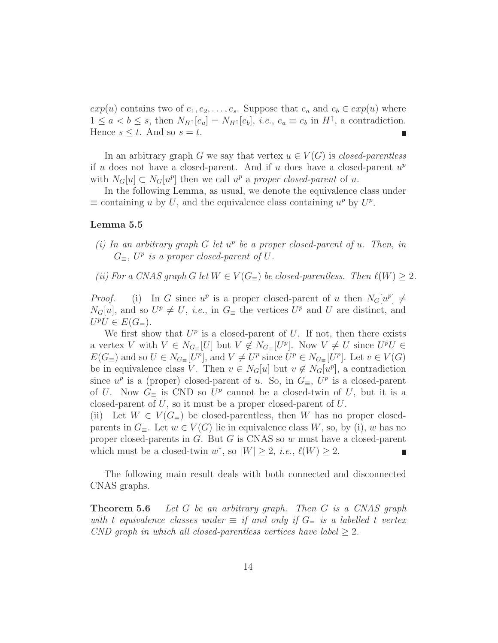$exp(u)$  contains two of  $e_1, e_2, \ldots, e_s$ . Suppose that  $e_a$  and  $e_b \in exp(u)$  where  $1 \le a < b \le s$ , then  $N_{H^{\uparrow}}[e_a] = N_{H^{\uparrow}}[e_b]$ , *i.e.*,  $e_a \equiv e_b$  in  $H^{\uparrow}$ , a contradiction. Hence  $s \leq t$ . And so  $s = t$ .

In an arbitrary graph G we say that vertex  $u \in V(G)$  is *closed-parentless* if u does not have a closed-parent. And if u does have a closed-parent  $u^p$ with  $N_G[u] \subset N_G[u^p]$  then we call  $u^p$  a *proper closed-parent* of u.

In the following Lemma, as usual, we denote the equivalence class under  $\equiv$  containing u by U, and the equivalence class containing  $u^p$  by  $U^p$ .

#### **Lemma 5.5**

- *(i) In an arbitrary graph* G *let* u<sup>p</sup> *be a proper closed-parent of* u*. Then, in*  $G_{\equiv}$ ,  $U^p$  *is a proper closed-parent of*  $U$ .
- *(ii)* For a CNAS graph G let  $W \in V(G_{\equiv})$  be closed-parentless. Then  $\ell(W) \geq 2$ .

*Proof.* (i) In G since  $u^p$  is a proper closed-parent of u then  $N_G[u^p] \neq$  $N_G[u]$ , and so  $U^p \neq U$ , *i.e.*, in  $G_{\equiv}$  the vertices  $U^p$  and U are distinct, and  $U^pU \in E(G=).$ 

We first show that  $U^p$  is a closed-parent of U. If not, then there exists a vertex V with  $V \in N_{G_{\equiv}}[U]$  but  $V \notin N_{G_{\equiv}}[U^p]$ . Now  $V \neq U$  since  $U^pU \in$  $E(G_{\equiv})$  and so  $U \in N_{G_{\equiv}}[U^p]$ , and  $V \neq U^p$  since  $U^p \in N_{G_{\equiv}}[U^p]$ . Let  $v \in V(G)$ be in equivalence class V. Then  $v \in N_G[u]$  but  $v \notin N_G[u^p]$ , a contradiction since  $u^p$  is a (proper) closed-parent of u. So, in  $G_\equiv$ ,  $U^p$  is a closed-parent of U. Now  $G_{\equiv}$  is CND so  $U^p$  cannot be a closed-twin of U, but it is a closed-parent of  $U$ , so it must be a proper closed-parent of  $U$ .

(ii) Let  $W \in V(G_{\equiv})$  be closed-parentless, then W has no proper closedparents in  $G_{\equiv}$ . Let  $w \in V(G)$  lie in equivalence class W, so, by (i), w has no proper closed-parents in G. But G is CNAS so w must have a closed-parent which must be a closed-twin  $w^*$ , so  $|W| \geq 2$ , *i.e.*,  $\ell(W) \geq 2$ .

The following main result deals with both connected and disconnected CNAS graphs.

**Theorem 5.6** *Let* G *be an arbitrary graph. Then* G *is a CNAS graph with* t equivalence classes under  $\equiv$  *if and only if*  $G_{\equiv}$  *is a labelled* t *vertex CND graph in which all closed-parentless vertices have label* ≥ 2*.*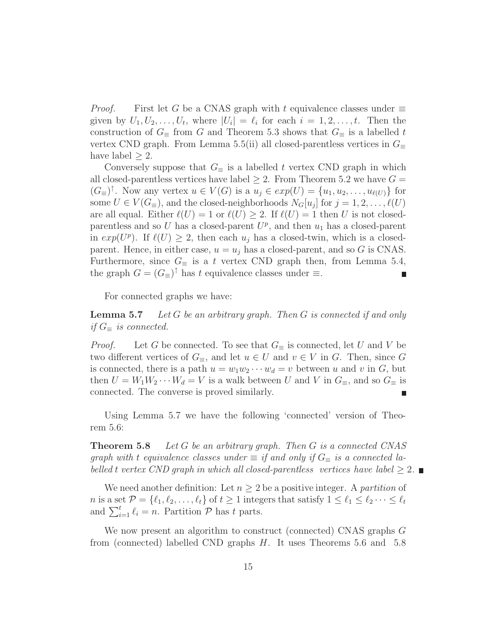*Proof.* First let G be a CNAS graph with t equivalence classes under  $\equiv$ given by  $U_1, U_2, \ldots, U_t$ , where  $|U_i| = \ell_i$  for each  $i = 1, 2, \ldots, t$ . Then the construction of  $G_\equiv$  from G and Theorem 5.3 shows that  $G_\equiv$  is a labelled t vertex CND graph. From Lemma 5.5(ii) all closed-parentless vertices in  $G_{\equiv}$ have label  $\geq 2$ .

Conversely suppose that  $G_\equiv$  is a labelled t vertex CND graph in which all closed-parentless vertices have label  $\geq 2$ . From Theorem 5.2 we have  $G =$  $(G_{\equiv})^{\dagger}$ . Now any vertex  $u \in V(G)$  is a  $u_j \in exp(U) = \{u_1, u_2, \ldots, u_{\ell(U)}\}$  for some  $U \in V(G_{\equiv})$ , and the closed-neighborhoods  $N_G[u_j]$  for  $j = 1, 2, \ldots, \ell(U)$ are all equal. Either  $\ell(U) = 1$  or  $\ell(U) \geq 2$ . If  $\ell(U) = 1$  then U is not closedparentless and so U has a closed-parent  $U^p$ , and then  $u_1$  has a closed-parent in  $exp(U^p)$ . If  $\ell(U) \geq 2$ , then each  $u_j$  has a closed-twin, which is a closedparent. Hence, in either case,  $u = u_j$  has a closed-parent, and so G is CNAS. Furthermore, since  $G_\equiv$  is a t vertex CND graph then, from Lemma 5.4, the graph  $G = (G_{\equiv})^{\uparrow}$  has t equivalence classes under  $\equiv$ . Г

For connected graphs we have:

**Lemma 5.7** *Let* G *be an arbitrary graph. Then* G *is connected if and only if*  $G$ <sub>≡</sub> *is connected.* 

*Proof.* Let G be connected. To see that  $G_\equiv$  is connected, let U and V be two different vertices of  $G_\equiv$ , and let  $u \in U$  and  $v \in V$  in G. Then, since G is connected, there is a path  $u = w_1w_2\cdots w_d = v$  between u and v in G, but then  $U = W_1 W_2 \cdots W_d = V$  is a walk between U and V in  $G_{\equiv}$ , and so  $G_{\equiv}$  is connected. The converse is proved similarly.

Using Lemma 5.7 we have the following 'connected' version of Theorem 5.6:

**Theorem 5.8** *Let* G *be an arbitrary graph. Then* G *is a connected CNAS graph with* t *equivalence classes under*  $\equiv$  *if and only if*  $G_{\equiv}$  *is a connected labelled* t *vertex CND* graph in which all closed-parentless vertices have label  $\geq 2$ .

We need another definition: Let  $n \geq 2$  be a positive integer. A *partition* of *n* is a set  $\mathcal{P} = \{\ell_1, \ell_2, \ldots, \ell_t\}$  of  $t \geq 1$  integers that satisfy  $1 \leq \ell_1 \leq \ell_2 \cdots \leq \ell_t$ and  $\sum_{i=1}^t \ell_i = n$ . Partition  $\mathcal{P}$  has t parts.

We now present an algorithm to construct (connected) CNAS graphs G from (connected) labelled CND graphs H. It uses Theorems 5.6 and 5.8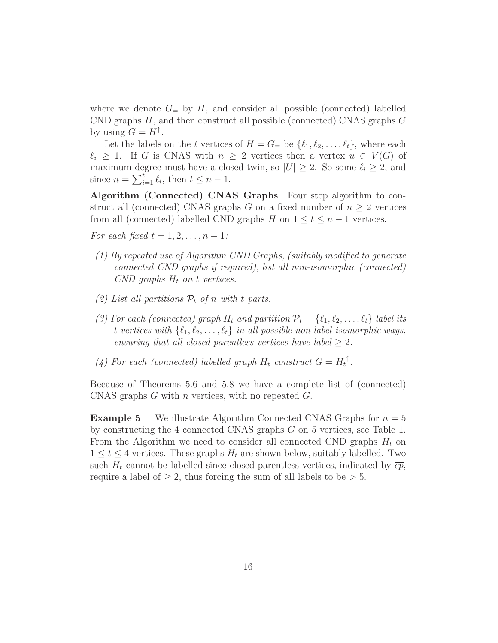where we denote  $G_{\equiv}$  by H, and consider all possible (connected) labelled CND graphs  $H$ , and then construct all possible (connected) CNAS graphs  $G$ by using  $G = H^{\uparrow}$ .

Let the labels on the t vertices of  $H = G_{\equiv}$  be  $\{\ell_1, \ell_2, \ldots, \ell_t\}$ , where each  $\ell_i \geq 1$ . If G is CNAS with  $n \geq 2$  vertices then a vertex  $u \in V(G)$  of maximum degree must have a closed-twin, so  $|U| \geq 2$ . So some  $\ell_i \geq 2$ , and since  $n = \sum_{i=1}^{t} \ell_i$ , then  $t \leq n - 1$ .

**Algorithm (Connected) CNAS Graphs** Four step algorithm to construct all (connected) CNAS graphs G on a fixed number of  $n \geq 2$  vertices from all (connected) labelled CND graphs H on  $1 \le t \le n-1$  vertices.

*For each fixed*  $t = 1, 2, ..., n - 1$ *:* 

- *(1) By repeated use of Algorithm CND Graphs, (suitably modified to generate connected CND graphs if required), list all non-isomorphic (connected) CND* graphs  $H_t$  on t vertices.
- *(2) List all partitions*  $P_t$  *of n with t parts.*
- *(3) For each (connected) graph*  $H_t$  *and partition*  $\mathcal{P}_t = \{ \ell_1, \ell_2, \ldots, \ell_t \}$  *label its* t vertices with  $\{\ell_1, \ell_2, \ldots, \ell_t\}$  in all possible non-label isomorphic ways, *ensuring that all closed-parentless vertices have label*  $\geq 2$ *.*
- (4) For each (connected) labelled graph  $H_t$  construct  $G = H_t^{\dagger}$ .

Because of Theorems 5.6 and 5.8 we have a complete list of (connected) CNAS graphs  $G$  with n vertices, with no repeated  $G$ .

**Example 5** We illustrate Algorithm Connected CNAS Graphs for  $n = 5$ by constructing the 4 connected CNAS graphs G on 5 vertices, see Table 1. From the Algorithm we need to consider all connected CND graphs  $H_t$  on  $1 \leq t \leq 4$  vertices. These graphs  $H_t$  are shown below, suitably labelled. Two such  $H_t$  cannot be labelled since closed-parentless vertices, indicated by  $\overline{cp}$ , require a label of  $\geq 2$ , thus forcing the sum of all labels to be  $> 5$ .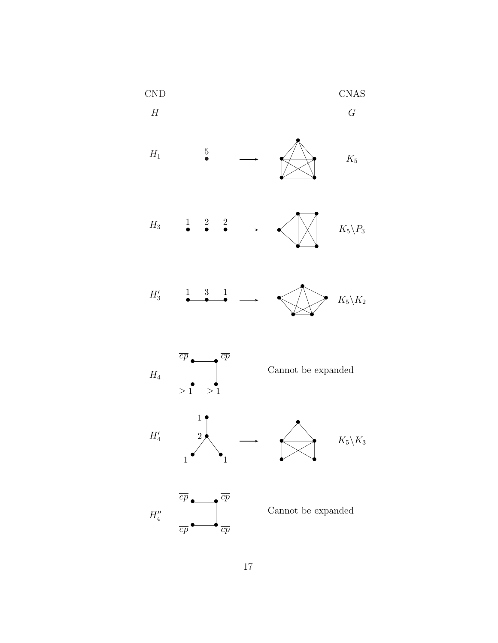